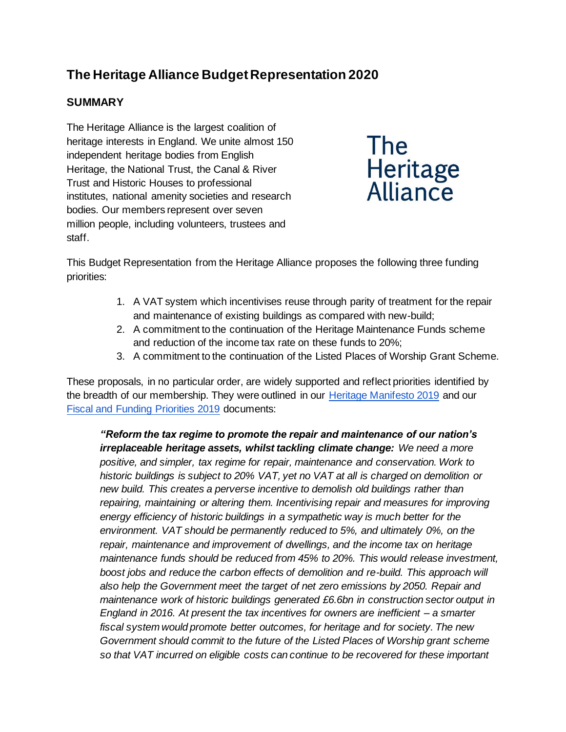# **The Heritage Alliance Budget Representation 2020**

# **SUMMARY**

The Heritage Alliance is the largest coalition of heritage interests in England. We unite almost 150 independent heritage bodies from English Heritage, the National Trust, the Canal & River Trust and Historic Houses to professional institutes, national amenity societies and research bodies. Our members represent over seven million people, including volunteers, trustees and staff.



This Budget Representation from the Heritage Alliance proposes the following three funding priorities:

- 1. A VAT system which incentivises reuse through parity of treatment for the repair and maintenance of existing buildings as compared with new-build;
- 2. A commitment to the continuation of the Heritage Maintenance Funds scheme and reduction of the income tax rate on these funds to 20%;
- 3. A commitment to the continuation of the Listed Places of Worship Grant Scheme.

These proposals, in no particular order, are widely supported and reflect priorities identified by the breadth of our membership. They were outlined in our [Heritage Manifesto 2019](https://www.theheritagealliance.org.uk/wp-content/uploads/2019/11/Manifesto-2019.pdf) and our [Fiscal and Funding Priorities 2019](https://www.theheritagealliance.org.uk/wp-content/uploads/2019/06/Manifesto2019.pdf) documents:

*"Reform the tax regime to promote the repair and maintenance of our nation's irreplaceable heritage assets, whilst tackling climate change: We need a more positive, and simpler, tax regime for repair, maintenance and conservation. Work to historic buildings is subject to 20% VAT, yet no VAT at all is charged on demolition or new build. This creates a perverse incentive to demolish old buildings rather than repairing, maintaining or altering them. Incentivising repair and measures for improving energy efficiency of historic buildings in a sympathetic way is much better for the environment. VAT should be permanently reduced to 5%, and ultimately 0%, on the repair, maintenance and improvement of dwellings, and the income tax on heritage maintenance funds should be reduced from 45% to 20%. This would release investment, boost jobs and reduce the carbon effects of demolition and re-build. This approach will also help the Government meet the target of net zero emissions by 2050. Repair and maintenance work of historic buildings generated £6.6bn in construction sector output in England in 2016. At present the tax incentives for owners are inefficient – a smarter fiscal system would promote better outcomes, for heritage and for society. The new Government should commit to the future of the Listed Places of Worship grant scheme so that VAT incurred on eligible costs can continue to be recovered for these important*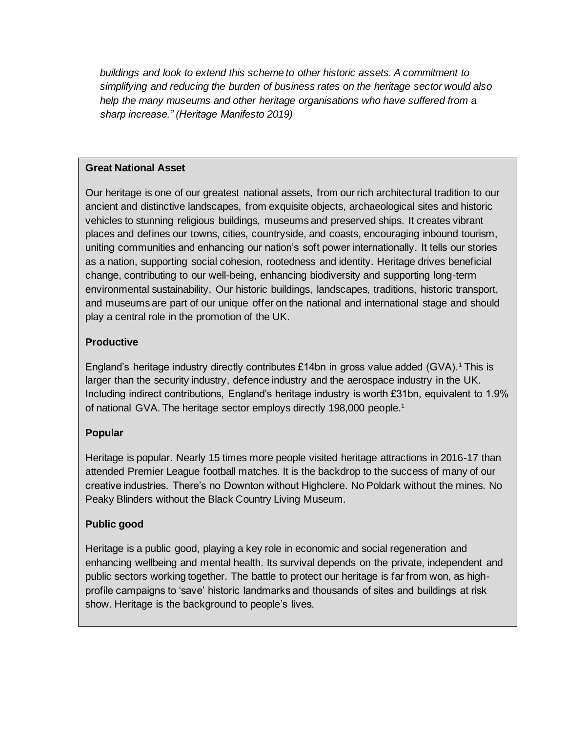*buildings and look to extend this scheme to other historic assets. A commitment to simplifying and reducing the burden of business rates on the heritage sector would also help the many museums and other heritage organisations who have suffered from a sharp increase." (Heritage Manifesto 2019)*

#### **Great National Asset**

Our heritage is one of our greatest national assets, from our rich architectural tradition to our ancient and distinctive landscapes, from exquisite objects, archaeological sites and historic vehicles to stunning religious buildings, museums and preserved ships. It creates vibrant places and defines our towns, cities, countryside, and coasts, encouraging inbound tourism, uniting communities and enhancing our nation's soft power internationally. It tells our stories as a nation, supporting social cohesion, rootedness and identity. Heritage drives beneficial change, contributing to our well-being, enhancing biodiversity and supporting long-term environmental sustainability. Our historic buildings, landscapes, traditions, historic transport, and museums are part of our unique offer on the national and international stage and should play a central role in the promotion of the UK.

## **Productive**

England's heritage industry directly contributes £14bn in gross value added  $(GVA)$ .<sup>1</sup> This is larger than the security industry, defence industry and the aerospace industry in the UK. Including indirect contributions, England's heritage industry is worth £31bn, equivalent to 1.9% of national GVA. The heritage sector employs directly 198,000 people.<sup>1</sup>

## **Popular**

Heritage is popular. Nearly 15 times more people visited heritage attractions in 2016-17 than attended Premier League football matches. It is the backdrop to the success of many of our creative industries. There's no Downton without Highclere. No Poldark without the mines. No Peaky Blinders without the Black Country Living Museum.

## **Public good**

Heritage is a public good, playing a key role in economic and social regeneration and enhancing wellbeing and mental health. Its survival depends on the private, independent and public sectors working together. The battle to protect our heritage is far from won, as highprofile campaigns to 'save' historic landmarks and thousands of sites and buildings at risk show. Heritage is the background to people's lives.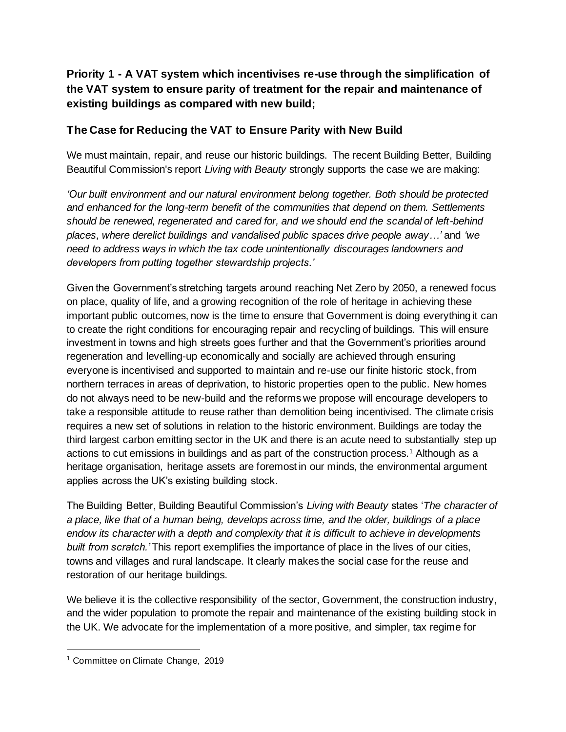# **Priority 1 - A VAT system which incentivises re-use through the simplification of the VAT system to ensure parity of treatment for the repair and maintenance of existing buildings as compared with new build;**

# **The Case for Reducing the VAT to Ensure Parity with New Build**

We must maintain, repair, and reuse our historic buildings. The recent Building Better, Building Beautiful Commission's report *Living with Beauty* strongly supports the case we are making:

*'Our built environment and our natural environment belong together. Both should be protected and enhanced for the long-term benefit of the communities that depend on them. Settlements should be renewed, regenerated and cared for, and we should end the scandal of left-behind places, where derelict buildings and vandalised public spaces drive people away…'* and *'we need to address ways in which the tax code unintentionally discourages landowners and developers from putting together stewardship projects.'*

Given the Government's stretching targets around reaching Net Zero by 2050, a renewed focus on place, quality of life, and a growing recognition of the role of heritage in achieving these important public outcomes, now is the time to ensure that Government is doing everything it can to create the right conditions for encouraging repair and recycling of buildings. This will ensure investment in towns and high streets goes further and that the Government's priorities around regeneration and levelling-up economically and socially are achieved through ensuring everyone is incentivised and supported to maintain and re-use our finite historic stock, from northern terraces in areas of deprivation, to historic properties open to the public. New homes do not always need to be new-build and the reforms we propose will encourage developers to take a responsible attitude to reuse rather than demolition being incentivised. The climate crisis requires a new set of solutions in relation to the historic environment. Buildings are today the third largest carbon emitting sector in the UK and there is an acute need to substantially step up actions to cut emissions in buildings and as part of the construction process.<sup>1</sup> Although as a heritage organisation, heritage assets are foremost in our minds, the environmental argument applies across the UK's existing building stock.

The Building Better, Building Beautiful Commission's *Living with Beauty* states '*The character of a place, like that of a human being, develops across time, and the older, buildings of a place endow its character with a depth and complexity that it is difficult to achieve in developments built from scratch.'* This report exemplifies the importance of place in the lives of our cities, towns and villages and rural landscape. It clearly makes the social case for the reuse and restoration of our heritage buildings.

We believe it is the collective responsibility of the sector, Government, the construction industry, and the wider population to promote the repair and maintenance of the existing building stock in the UK. We advocate for the implementation of a more positive, and simpler, tax regime for

<sup>&</sup>lt;sup>1</sup> Committee on Climate Change, 2019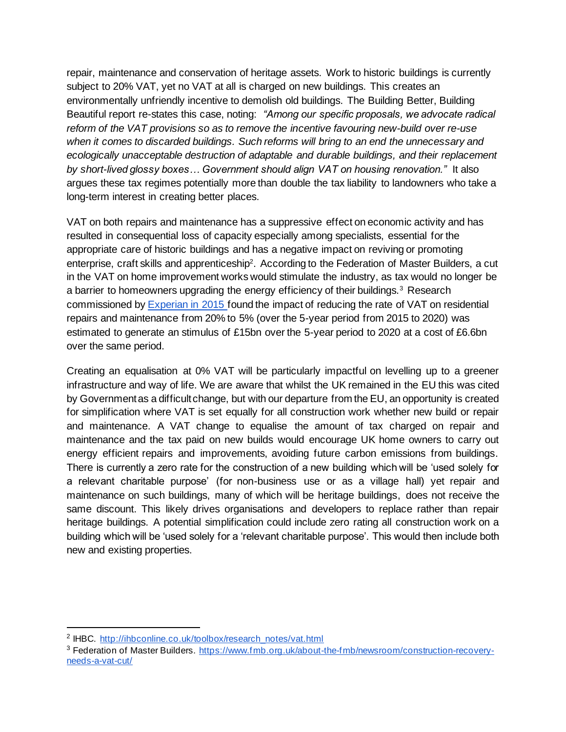repair, maintenance and conservation of heritage assets. Work to historic buildings is currently subject to 20% VAT, yet no VAT at all is charged on new buildings. This creates an environmentally unfriendly incentive to demolish old buildings. The Building Better, Building Beautiful report re-states this case, noting: *"Among our specific proposals, we advocate radical reform of the VAT provisions so as to remove the incentive favouring new-build over re-use when it comes to discarded buildings. Such reforms will bring to an end the unnecessary and ecologically unacceptable destruction of adaptable and durable buildings, and their replacement by short-lived glossy boxes… Government should align VAT on housing renovation."* It also argues these tax regimes potentially more than double the tax liability to landowners who take a long-term interest in creating better places.

VAT on both repairs and maintenance has a suppressive effect on economic activity and has resulted in consequential loss of capacity especially among specialists, essential for the appropriate care of historic buildings and has a negative impact on reviving or promoting enterprise, craft skills and apprenticeship<sup>2</sup>. According to the Federation of Master Builders, a cut in the VAT on home improvement works would stimulate the industry, as tax would no longer be a barrier to homeowners upgrading the energy efficiency of their buildings.<sup>3</sup> Research commissioned by [Experian in 2015 f](https://www.ihbc.org.uk/resources/VAT-research-FINAL.pdf)ound the impact of reducing the rate of VAT on residential repairs and maintenance from 20% to 5% (over the 5-year period from 2015 to 2020) was estimated to generate an stimulus of £15bn over the 5-year period to 2020 at a cost of £6.6bn over the same period.

Creating an equalisation at 0% VAT will be particularly impactful on levelling up to a greener infrastructure and way of life. We are aware that whilst the UK remained in the EU this was cited by Government as a difficult change, but with our departure from the EU, an opportunity is created for simplification where VAT is set equally for all construction work whether new build or repair and maintenance. A VAT change to equalise the amount of tax charged on repair and maintenance and the tax paid on new builds would encourage UK home owners to carry out energy efficient repairs and improvements, avoiding future carbon emissions from buildings. There is currently a zero rate for the construction of a new building which will be 'used solely for a relevant charitable purpose' (for non-business use or as a village hall) yet repair and maintenance on such buildings, many of which will be heritage buildings, does not receive the same discount. This likely drives organisations and developers to replace rather than repair heritage buildings. A potential simplification could include zero rating all construction work on a building which will be 'used solely for a 'relevant charitable purpose'. This would then include both new and existing properties.

<sup>&</sup>lt;sup>2</sup> IHBC. [http://ihbconline.co.uk/toolbox/research\\_notes/vat.html](http://ihbconline.co.uk/toolbox/research_notes/vat.html)

<sup>3</sup> Federation of Master Builders. [https://www.fmb.org.uk/about-the-fmb/newsroom/construction-recovery](https://www.fmb.org.uk/about-the-fmb/newsroom/construction-recovery-needs-a-vat-cut/)[needs-a-vat-cut/](https://www.fmb.org.uk/about-the-fmb/newsroom/construction-recovery-needs-a-vat-cut/)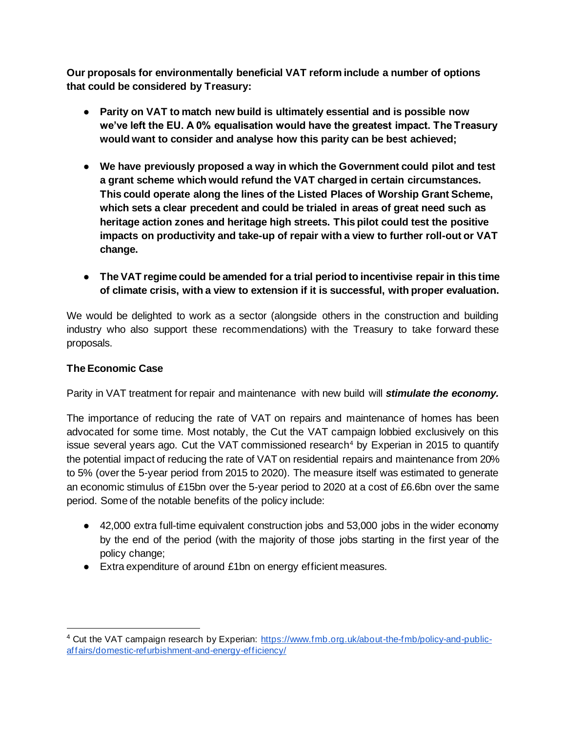**Our proposals for environmentally beneficial VAT reform include a number of options that could be considered by Treasury:**

- **Parity on VAT to match new build is ultimately essential and is possible now we've left the EU. A 0% equalisation would have the greatest impact. The Treasury would want to consider and analyse how this parity can be best achieved;**
- **We have previously proposed a way in which the Government could pilot and test a grant scheme which would refund the VAT charged in certain circumstances. This could operate along the lines of the Listed Places of Worship Grant Scheme, which sets a clear precedent and could be trialed in areas of great need such as heritage action zones and heritage high streets. This pilot could test the positive impacts on productivity and take-up of repair with a view to further roll-out or VAT change.**
- **The VAT regime could be amended for a trial period to incentivise repair in this time of climate crisis, with a view to extension if it is successful, with proper evaluation.**

We would be delighted to work as a sector (alongside others in the construction and building industry who also support these recommendations) with the Treasury to take forward these proposals.

## **The Economic Case**

Parity in VAT treatment for repair and maintenance with new build will *stimulate the economy.*

The importance of reducing the rate of VAT on repairs and maintenance of homes has been advocated for some time. Most notably, the Cut the VAT campaign lobbied exclusively on this issue several years ago. Cut the VAT commissioned research<sup>4</sup> by Experian in 2015 to quantify the potential impact of reducing the rate of VAT on residential repairs and maintenance from 20% to 5% (over the 5-year period from 2015 to 2020). The measure itself was estimated to generate an economic stimulus of £15bn over the 5-year period to 2020 at a cost of £6.6bn over the same period. Some of the notable benefits of the policy include:

- 42,000 extra full-time equivalent construction jobs and 53,000 jobs in the wider economy by the end of the period (with the majority of those jobs starting in the first year of the policy change;
- Extra expenditure of around £1bn on energy efficient measures.

<sup>4</sup> Cut the VAT campaign research by Experian: [https://www.fmb.org.uk/about-the-fmb/policy-and-public](https://www.fmb.org.uk/about-the-fmb/policy-and-public-affairs/domestic-refurbishment-and-energy-efficiency/)[affairs/domestic-refurbishment-and-energy-efficiency/](https://www.fmb.org.uk/about-the-fmb/policy-and-public-affairs/domestic-refurbishment-and-energy-efficiency/)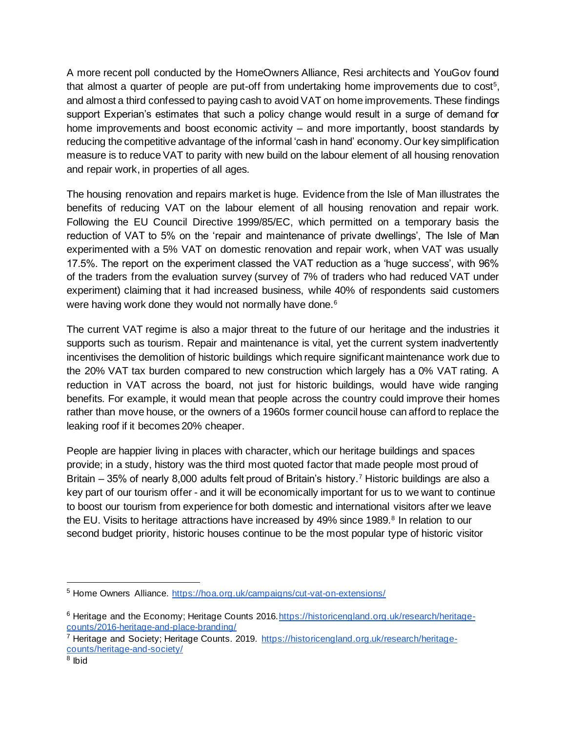A more recent poll conducted by the HomeOwners Alliance, Resi architects and YouGov found that almost a quarter of people are put-off from undertaking home improvements due to cost<sup>5</sup>, and almost a third confessed to paying cash to avoid VAT on home improvements. These findings support Experian's estimates that such a policy change would result in a surge of demand for home improvements and boost economic activity – and more importantly, boost standards by reducing the competitive advantage of the informal 'cash in hand' economy. Our key simplification measure is to reduce VAT to parity with new build on the labour element of all housing renovation and repair work, in properties of all ages.

The housing renovation and repairs market is huge. Evidence from the Isle of Man illustrates the benefits of reducing VAT on the labour element of all housing renovation and repair work. Following the EU Council Directive 1999/85/EC, which permitted on a temporary basis the reduction of VAT to 5% on the 'repair and maintenance of private dwellings', The Isle of Man experimented with a 5% VAT on domestic renovation and repair work, when VAT was usually 17.5%. The report on the experiment classed the VAT reduction as a 'huge success', with 96% of the traders from the evaluation survey (survey of 7% of traders who had reduced VAT under experiment) claiming that it had increased business, while 40% of respondents said customers were having work done they would not normally have done.<sup>6</sup>

The current VAT regime is also a major threat to the future of our heritage and the industries it supports such as tourism. Repair and maintenance is vital, yet the current system inadvertently incentivises the demolition of historic buildings which require significant maintenance work due to the 20% VAT tax burden compared to new construction which largely has a 0% VAT rating. A reduction in VAT across the board, not just for historic buildings, would have wide ranging benefits. For example, it would mean that people across the country could improve their homes rather than move house, or the owners of a 1960s former council house can afford to replace the leaking roof if it becomes 20% cheaper.

People are happier living in places with character, which our heritage buildings and spaces provide; in a study, history was the third most quoted factor that made people most proud of Britain – 35% of nearly 8,000 adults felt proud of Britain's history.<sup>7</sup> Historic buildings are also a key part of our tourism offer - and it will be economically important for us to we want to continue to boost our tourism from experience for both domestic and international visitors after we leave the EU. Visits to heritage attractions have increased by 49% since 1989.<sup>8</sup> In relation to our second budget priority, historic houses continue to be the most popular type of historic visitor

<sup>5</sup> Home Owners Alliance.<https://hoa.org.uk/campaigns/cut-vat-on-extensions/>

<sup>6</sup> Heritage and the Economy; Heritage Counts 2016[.https://historicengland.org.uk/research/heritage](https://historicengland.org.uk/research/heritage-counts/2016-heritage-and-place-branding/)[counts/2016-heritage-and-place-branding/](https://historicengland.org.uk/research/heritage-counts/2016-heritage-and-place-branding/)

<sup>7</sup> Heritage and Society; Heritage Counts. 2019. [https://historicengland.org.uk/research/heritage](https://historicengland.org.uk/research/heritage-counts/heritage-and-society/)[counts/heritage-and-society/](https://historicengland.org.uk/research/heritage-counts/heritage-and-society/)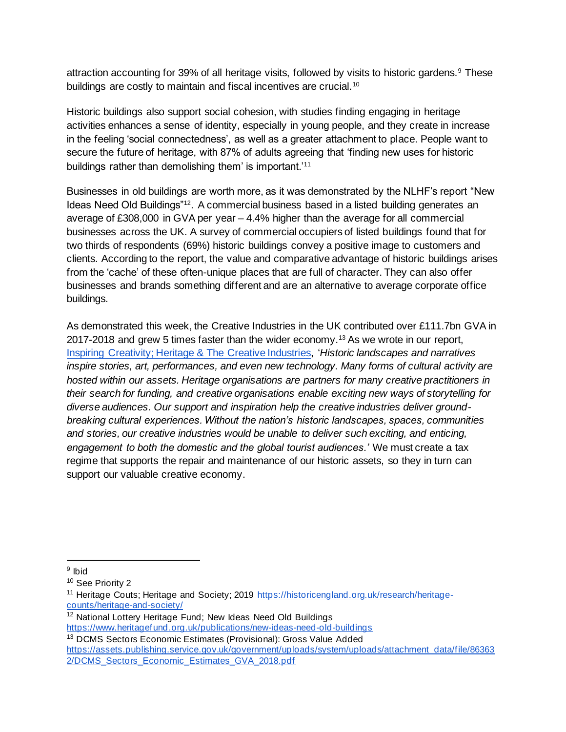attraction accounting for 39% of all heritage visits, followed by visits to historic gardens.<sup>9</sup> These buildings are costly to maintain and fiscal incentives are crucial.<sup>10</sup>

Historic buildings also support social cohesion, with studies finding engaging in heritage activities enhances a sense of identity, especially in young people, and they create in increase in the feeling 'social connectedness', as well as a greater attachment to place. People want to secure the future of heritage, with 87% of adults agreeing that 'finding new uses for historic buildings rather than demolishing them' is important.'<sup>11</sup>

Businesses in old buildings are worth more, as it was demonstrated by the NLHF's report "New Ideas Need Old Buildings"<sup>12</sup>. A commercial business based in a listed building generates an average of £308,000 in GVA per year – 4.4% higher than the average for all commercial businesses across the UK. A survey of commercial occupiers of listed buildings found that for two thirds of respondents (69%) historic buildings convey a positive image to customers and clients. According to the report, the value and comparative advantage of historic buildings arises from the 'cache' of these often-unique places that are full of character. They can also offer businesses and brands something different and are an alternative to average corporate office buildings.

As demonstrated this week, the Creative Industries in the UK contributed over £111.7bn GVA in 2017-2018 and grew 5 times faster than the wider economy.<sup>13</sup> As we wrote in our report, [Inspiring Creativity; Heritage & The Creative Industries,](https://www.theheritagealliance.org.uk/wp-content/uploads/2019/09/InspiringCreativity_THAreport.pdf) '*Historic landscapes and narratives inspire stories, art, performances, and even new technology. Many forms of cultural activity are hosted within our assets. Heritage organisations are partners for many creative practitioners in their search for funding, and creative organisations enable exciting new ways of storytelling for diverse audiences. Our support and inspiration help the creative industries deliver groundbreaking cultural experiences. Without the nation's historic landscapes, spaces, communities and stories, our creative industries would be unable to deliver such exciting, and enticing, engagement to both the domestic and the global tourist audiences.'* We must create a tax regime that supports the repair and maintenance of our historic assets, so they in turn can support our valuable creative economy.

<https://www.heritagefund.org.uk/publications/new-ideas-need-old-buildings>

<sup>&</sup>lt;sup>9</sup> Ibid

<sup>10</sup> See Priority 2

<sup>&</sup>lt;sup>11</sup> Heritage Couts; Heritage and Society; 2019 [https://historicengland.org.uk/research/heritage](https://historicengland.org.uk/research/heritage-counts/heritage-and-society/)[counts/heritage-and-society/](https://historicengland.org.uk/research/heritage-counts/heritage-and-society/)

<sup>&</sup>lt;sup>12</sup> National Lottery Heritage Fund: New Ideas Need Old Buildings

<sup>13</sup> DCMS Sectors Economic Estimates (Provisional): Gross Value Added [https://assets.publishing.service.gov.uk/government/uploads/system/uploads/attachment\\_data/file/86363](https://assets.publishing.service.gov.uk/government/uploads/system/uploads/attachment_data/file/863632/DCMS_Sectors_Economic_Estimates_GVA_2018.pdf) [2/DCMS\\_Sectors\\_Economic\\_Estimates\\_GVA\\_2018.pdf](https://assets.publishing.service.gov.uk/government/uploads/system/uploads/attachment_data/file/863632/DCMS_Sectors_Economic_Estimates_GVA_2018.pdf)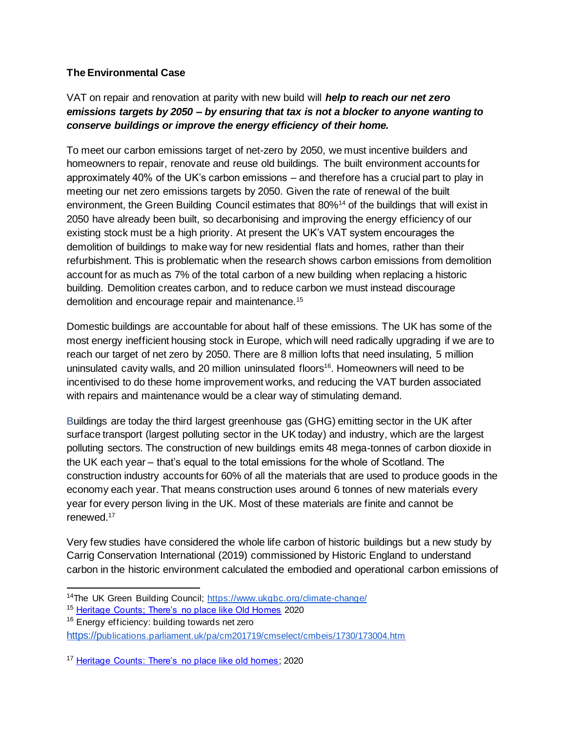## **The Environmental Case**

# VAT on repair and renovation at parity with new build will *help to reach our net zero emissions targets by 2050 – by ensuring that tax is not a blocker to anyone wanting to conserve buildings or improve the energy efficiency of their home.*

To meet our carbon emissions target of net-zero by 2050, we must incentive builders and homeowners to repair, renovate and reuse old buildings. The built environment accounts for approximately 40% of the UK's carbon emissions – and therefore has a crucial part to play in meeting our net zero emissions targets by 2050. Given the rate of renewal of the built environment, the Green Building Council estimates that 80%<sup>14</sup> of the buildings that will exist in 2050 have already been built, so decarbonising and improving the energy efficiency of our existing stock must be a high priority. At present the UK's VAT system encourages the demolition of buildings to make way for new residential flats and homes, rather than their refurbishment. This is problematic when the research shows carbon emissions from demolition account for as much as 7% of the total carbon of a new building when replacing a historic building. Demolition creates carbon, and to reduce carbon we must instead discourage demolition and encourage repair and maintenance.<sup>15</sup>

Domestic buildings are accountable for about half of these emissions. The UK has some of the most energy inefficient housing stock in Europe, which will need radically upgrading if we are to reach our target of net zero by 2050. There are 8 million lofts that need insulating, 5 million uninsulated cavity walls, and 20 million uninsulated floors<sup>16</sup>. Homeowners will need to be incentivised to do these home improvement works, and reducing the VAT burden associated with repairs and maintenance would be a clear way of stimulating demand.

Buildings are today the third largest greenhouse gas (GHG) emitting sector in the UK after surface transport (largest polluting sector in the UK today) and industry, which are the largest polluting sectors. The construction of new buildings emits 48 mega-tonnes of carbon dioxide in the UK each year – that's equal to the total emissions for the whole of Scotland. The construction industry accounts for 60% of all the materials that are used to produce goods in the economy each year. That means construction uses around 6 tonnes of new materials every year for every person living in the UK. Most of these materials are finite and cannot be renewed.<sup>17</sup>

Very few studies have considered the whole life carbon of historic buildings but a new study by Carrig Conservation International (2019) commissioned by Historic England to understand carbon in the historic environment calculated the embodied and operational carbon emissions of

- <sup>15</sup> [Heritage Counts; There's no place like Old Homes](https://historicengland.org.uk/content/heritage-counts/pub/2019/hc2019-re-use-recycle-to-reduce-carbon/) 2020
- <sup>16</sup> Energy efficiency: building towards net zero

[https://p](https://publications.parliament.uk/pa/cm201719/cmselect/cmbeis/1730/173004.htm)[ublications.parliament.uk/pa/cm201719/cmselect/cmbeis/1730/173004.htm](https://publications.parliament.uk/pa/cm201719/cmselect/cmbeis/1730/173004.htm)

<sup>14</sup>The UK Green Building Council;<https://www.ukgbc.org/climate-change/>

<sup>&</sup>lt;sup>17</sup> [Heritage Counts: There's no place like old homes;](https://historicengland.org.uk/content/heritage-counts/pub/2019/hc2019-re-use-recycle-to-reduce-carbon/) 2020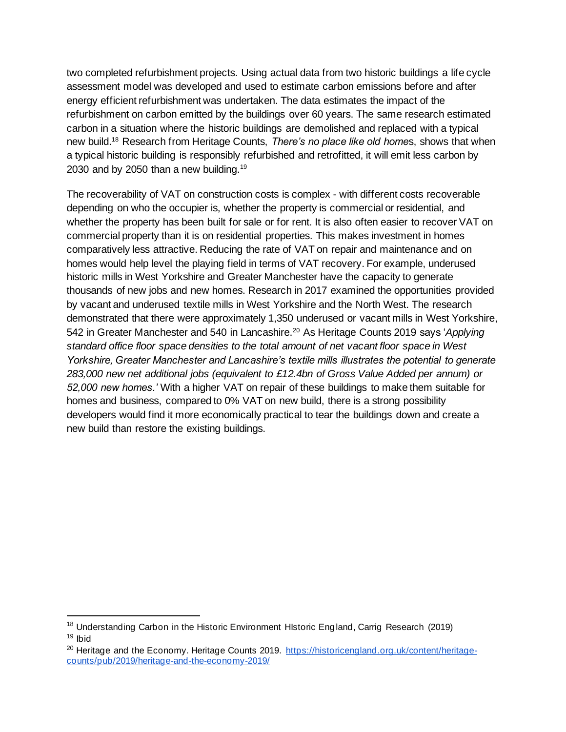two completed refurbishment projects. Using actual data from two historic buildings a life cycle assessment model was developed and used to estimate carbon emissions before and after energy efficient refurbishment was undertaken. The data estimates the impact of the refurbishment on carbon emitted by the buildings over 60 years. The same research estimated carbon in a situation where the historic buildings are demolished and replaced with a typical new build.<sup>18</sup> Research from Heritage Counts, *There's no place like old home*s, shows that when a typical historic building is responsibly refurbished and retrofitted, it will emit less carbon by 2030 and by 2050 than a new building.<sup>19</sup>

The recoverability of VAT on construction costs is complex - with different costs recoverable depending on who the occupier is, whether the property is commercial or residential, and whether the property has been built for sale or for rent. It is also often easier to recover VAT on commercial property than it is on residential properties. This makes investment in homes comparatively less attractive. Reducing the rate of VAT on repair and maintenance and on homes would help level the playing field in terms of VAT recovery. For example, underused historic mills in West Yorkshire and Greater Manchester have the capacity to generate thousands of new jobs and new homes. Research in 2017 examined the opportunities provided by vacant and underused textile mills in West Yorkshire and the North West. The research demonstrated that there were approximately 1,350 underused or vacant mills in West Yorkshire, 542 in Greater Manchester and 540 in Lancashire.<sup>20</sup> As Heritage Counts 2019 says '*Applying standard office floor space densities to the total amount of net vacant floor space in West Yorkshire, Greater Manchester and Lancashire's textile mills illustrates the potential to generate 283,000 new net additional jobs (equivalent to £12.4bn of Gross Value Added per annum) or 52,000 new homes.'* With a higher VAT on repair of these buildings to make them suitable for homes and business, compared to 0% VAT on new build, there is a strong possibility developers would find it more economically practical to tear the buildings down and create a new build than restore the existing buildings.

<sup>&</sup>lt;sup>18</sup> Understanding Carbon in the Historic Environment HIstoric England, Carrig Research (2019)  $19$  lbid

<sup>&</sup>lt;sup>20</sup> Heritage and the Economy. Heritage Counts 2019. [https://historicengland.org.uk/content/heritage](https://historicengland.org.uk/content/heritage-counts/pub/2019/heritage-and-the-economy-2019/)[counts/pub/2019/heritage-and-the-economy-2019/](https://historicengland.org.uk/content/heritage-counts/pub/2019/heritage-and-the-economy-2019/)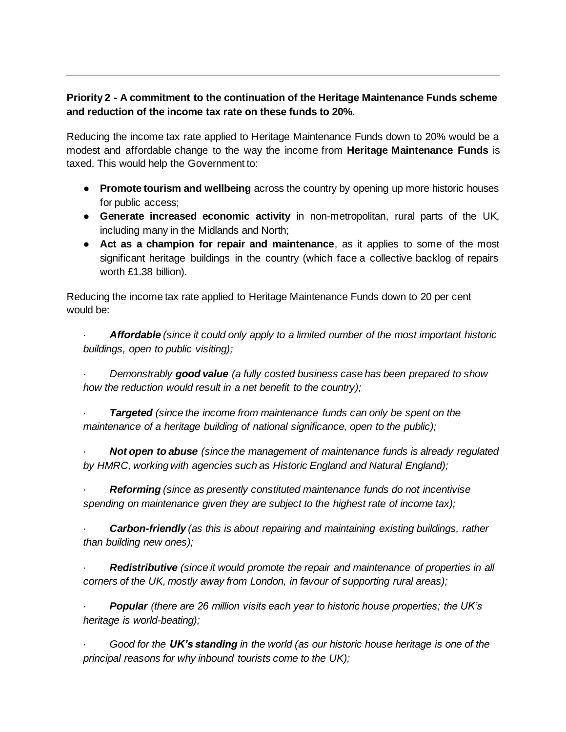## **Priority 2 - A commitment to the continuation of the Heritage Maintenance Funds scheme and reduction of the income tax rate on these funds to 20%.**

Reducing the income tax rate applied to Heritage Maintenance Funds down to 20% would be a modest and affordable change to the way the income from **Heritage Maintenance Funds** is taxed. This would help the Government to:

- **Promote tourism and wellbeing** across the country by opening up more historic houses for public access;
- **Generate increased economic activity** in non-metropolitan, rural parts of the UK, including many in the Midlands and North;
- **Act as a champion for repair and maintenance**, as it applies to some of the most significant heritage buildings in the country (which face a collective backlog of repairs worth £1.38 billion).

Reducing the income tax rate applied to Heritage Maintenance Funds down to 20 per cent would be:

*· Affordable (since it could only apply to a limited number of the most important historic buildings, open to public visiting);*

*· Demonstrably good value (a fully costed business case has been prepared to show how the reduction would result in a net benefit to the country);*

*· Targeted (since the income from maintenance funds can only be spent on the maintenance of a heritage building of national significance, open to the public);*

*· Not open to abuse (since the management of maintenance funds is already regulated by HMRC, working with agencies such as Historic England and Natural England);*

*· Reforming (since as presently constituted maintenance funds do not incentivise spending on maintenance given they are subject to the highest rate of income tax);*

*· Carbon-friendly (as this is about repairing and maintaining existing buildings, rather than building new ones);*

*· Redistributive (since it would promote the repair and maintenance of properties in all corners of the UK, mostly away from London, in favour of supporting rural areas);*

*· Popular (there are 26 million visits each year to historic house properties; the UK's heritage is world-beating);*

*· Good for the UK's standing in the world (as our historic house heritage is one of the principal reasons for why inbound tourists come to the UK);*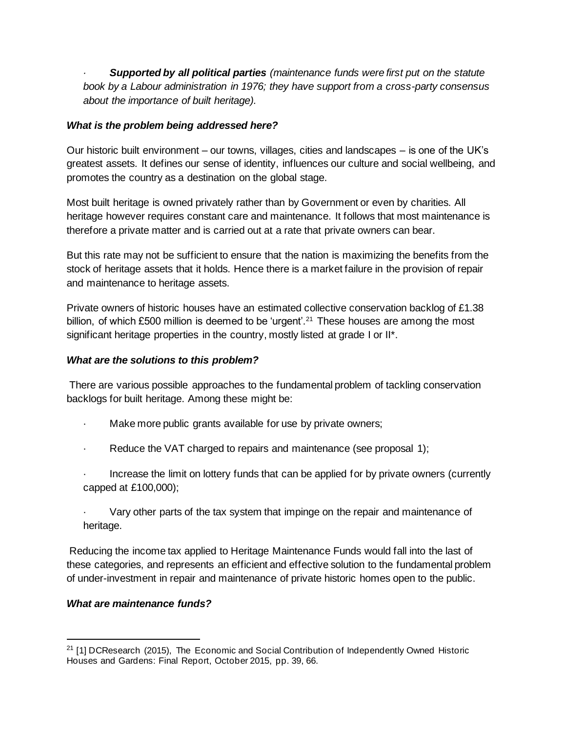*· Supported by all political parties (maintenance funds were first put on the statute book by a Labour administration in 1976; they have support from a cross-party consensus about the importance of built heritage).*

#### *What is the problem being addressed here?*

Our historic built environment – our towns, villages, cities and landscapes – is one of the UK's greatest assets. It defines our sense of identity, influences our culture and social wellbeing, and promotes the country as a destination on the global stage.

Most built heritage is owned privately rather than by Government or even by charities. All heritage however requires constant care and maintenance. It follows that most maintenance is therefore a private matter and is carried out at a rate that private owners can bear.

But this rate may not be sufficient to ensure that the nation is maximizing the benefits from the stock of heritage assets that it holds. Hence there is a market failure in the provision of repair and maintenance to heritage assets.

Private owners of historic houses have an estimated collective conservation backlog of £1.38 billion, of which £500 million is deemed to be 'urgent'.<sup>21</sup> These houses are among the most significant heritage properties in the country, mostly listed at grade I or II\*.

#### *What are the solutions to this problem?*

There are various possible approaches to the fundamental problem of tackling conservation backlogs for built heritage. Among these might be:

- Make more public grants available for use by private owners;
- Reduce the VAT charged to repairs and maintenance (see proposal 1);
- Increase the limit on lottery funds that can be applied for by private owners (currently capped at £100,000);
- · Vary other parts of the tax system that impinge on the repair and maintenance of heritage.

Reducing the income tax applied to Heritage Maintenance Funds would fall into the last of these categories, and represents an efficient and effective solution to the fundamental problem of under-investment in repair and maintenance of private historic homes open to the public.

#### *What are maintenance funds?*

 $21$  [1] DCResearch (2015), The Economic and Social Contribution of Independently Owned Historic Houses and Gardens: Final Report, October 2015, pp. 39, 66.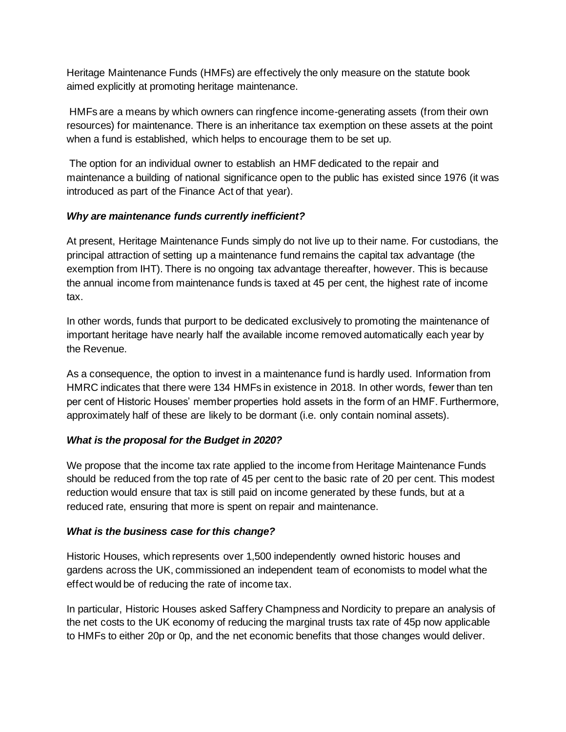Heritage Maintenance Funds (HMFs) are effectively the only measure on the statute book aimed explicitly at promoting heritage maintenance.

HMFs are a means by which owners can ringfence income-generating assets (from their own resources) for maintenance. There is an inheritance tax exemption on these assets at the point when a fund is established, which helps to encourage them to be set up.

The option for an individual owner to establish an HMF dedicated to the repair and maintenance a building of national significance open to the public has existed since 1976 (it was introduced as part of the Finance Act of that year).

## *Why are maintenance funds currently inefficient?*

At present, Heritage Maintenance Funds simply do not live up to their name. For custodians, the principal attraction of setting up a maintenance fund remains the capital tax advantage (the exemption from IHT). There is no ongoing tax advantage thereafter, however. This is because the annual income from maintenance funds is taxed at 45 per cent, the highest rate of income tax.

In other words, funds that purport to be dedicated exclusively to promoting the maintenance of important heritage have nearly half the available income removed automatically each year by the Revenue.

As a consequence, the option to invest in a maintenance fund is hardly used. Information from HMRC indicates that there were 134 HMFs in existence in 2018. In other words, fewer than ten per cent of Historic Houses' member properties hold assets in the form of an HMF. Furthermore, approximately half of these are likely to be dormant (i.e. only contain nominal assets).

## *What is the proposal for the Budget in 2020?*

We propose that the income tax rate applied to the income from Heritage Maintenance Funds should be reduced from the top rate of 45 per cent to the basic rate of 20 per cent. This modest reduction would ensure that tax is still paid on income generated by these funds, but at a reduced rate, ensuring that more is spent on repair and maintenance.

## *What is the business case for this change?*

Historic Houses, which represents over 1,500 independently owned historic houses and gardens across the UK, commissioned an independent team of economists to model what the effect would be of reducing the rate of income tax.

In particular, Historic Houses asked Saffery Champness and Nordicity to prepare an analysis of the net costs to the UK economy of reducing the marginal trusts tax rate of 45p now applicable to HMFs to either 20p or 0p, and the net economic benefits that those changes would deliver.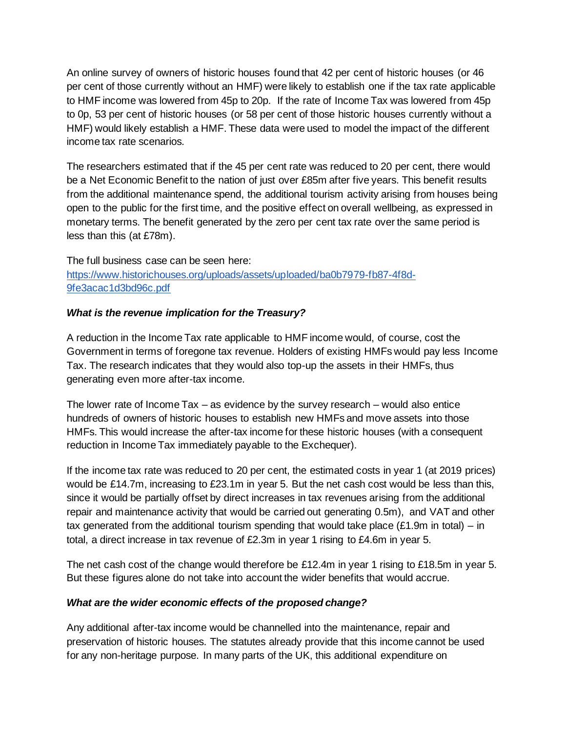An online survey of owners of historic houses found that 42 per cent of historic houses (or 46 per cent of those currently without an HMF) were likely to establish one if the tax rate applicable to HMF income was lowered from 45p to 20p. If the rate of Income Tax was lowered from 45p to 0p, 53 per cent of historic houses (or 58 per cent of those historic houses currently without a HMF) would likely establish a HMF. These data were used to model the impact of the different income tax rate scenarios.

The researchers estimated that if the 45 per cent rate was reduced to 20 per cent, there would be a Net Economic Benefit to the nation of just over £85m after five years. This benefit results from the additional maintenance spend, the additional tourism activity arising from houses being open to the public for the first time, and the positive effect on overall wellbeing, as expressed in monetary terms. The benefit generated by the zero per cent tax rate over the same period is less than this (at £78m).

The full business case can be seen here[:](https://www.historichouses.org/uploads/assets/uploaded/ba0b7979-fb87-4f8d-9fe3acac1d3bd96c.pdf) [https://www.historichouses.org/uploads/assets/uploaded/ba0b7979-fb87-4f8d-](https://www.historichouses.org/uploads/assets/uploaded/ba0b7979-fb87-4f8d-9fe3acac1d3bd96c.pdf)[9fe3acac1d3bd96c.pdf](https://www.historichouses.org/uploads/assets/uploaded/ba0b7979-fb87-4f8d-9fe3acac1d3bd96c.pdf)

#### *What is the revenue implication for the Treasury?*

A reduction in the Income Tax rate applicable to HMF income would, of course, cost the Government in terms of foregone tax revenue. Holders of existing HMFs would pay less Income Tax. The research indicates that they would also top-up the assets in their HMFs, thus generating even more after-tax income.

The lower rate of Income Tax – as evidence by the survey research – would also entice hundreds of owners of historic houses to establish new HMFs and move assets into those HMFs. This would increase the after-tax income for these historic houses (with a consequent reduction in Income Tax immediately payable to the Exchequer).

If the income tax rate was reduced to 20 per cent, the estimated costs in year 1 (at 2019 prices) would be £14.7m, increasing to £23.1m in year 5. But the net cash cost would be less than this, since it would be partially offset by direct increases in tax revenues arising from the additional repair and maintenance activity that would be carried out generating 0.5m), and VAT and other tax generated from the additional tourism spending that would take place  $(E1.9m)$  in total) – in total, a direct increase in tax revenue of £2.3m in year 1 rising to £4.6m in year 5.

The net cash cost of the change would therefore be £12.4m in year 1 rising to £18.5m in year 5. But these figures alone do not take into account the wider benefits that would accrue.

#### *What are the wider economic effects of the proposed change?*

Any additional after-tax income would be channelled into the maintenance, repair and preservation of historic houses. The statutes already provide that this income cannot be used for any non-heritage purpose. In many parts of the UK, this additional expenditure on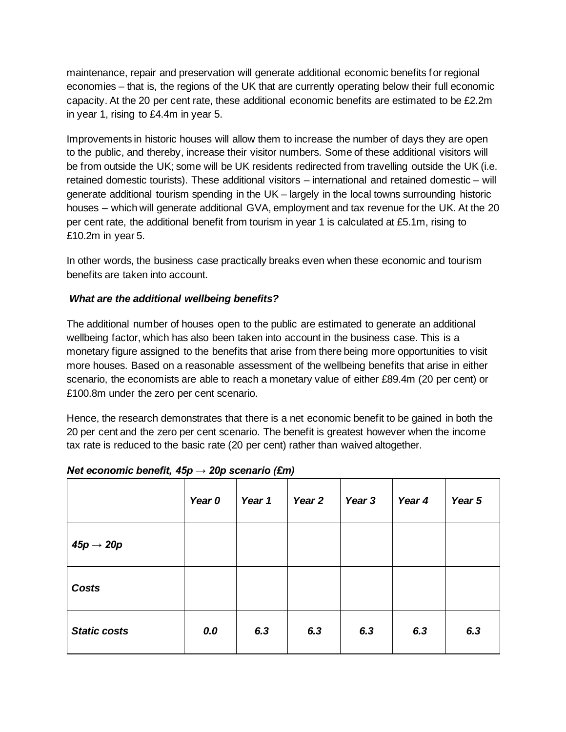maintenance, repair and preservation will generate additional economic benefits for regional economies – that is, the regions of the UK that are currently operating below their full economic capacity. At the 20 per cent rate, these additional economic benefits are estimated to be £2.2m in year 1, rising to £4.4m in year 5.

Improvements in historic houses will allow them to increase the number of days they are open to the public, and thereby, increase their visitor numbers. Some of these additional visitors will be from outside the UK; some will be UK residents redirected from travelling outside the UK (i.e. retained domestic tourists). These additional visitors – international and retained domestic – will generate additional tourism spending in the UK – largely in the local towns surrounding historic houses – which will generate additional GVA, employment and tax revenue for the UK. At the 20 per cent rate, the additional benefit from tourism in year 1 is calculated at £5.1m, rising to £10.2m in year 5.

In other words, the business case practically breaks even when these economic and tourism benefits are taken into account.

#### *What are the additional wellbeing benefits?*

The additional number of houses open to the public are estimated to generate an additional wellbeing factor, which has also been taken into account in the business case. This is a monetary figure assigned to the benefits that arise from there being more opportunities to visit more houses. Based on a reasonable assessment of the wellbeing benefits that arise in either scenario, the economists are able to reach a monetary value of either £89.4m (20 per cent) or £100.8m under the zero per cent scenario.

Hence, the research demonstrates that there is a net economic benefit to be gained in both the 20 per cent and the zero per cent scenario. The benefit is greatest however when the income tax rate is reduced to the basic rate (20 per cent) rather than waived altogether.

|                        | Year 0 | Year 1 | Year 2 | Year 3 | Year 4 | Year 5 |
|------------------------|--------|--------|--------|--------|--------|--------|
| 45 $p \rightarrow 20p$ |        |        |        |        |        |        |
| <b>Costs</b>           |        |        |        |        |        |        |
| <b>Static costs</b>    | 0.0    | 6.3    | 6.3    | 6.3    | 6.3    | 6.3    |

#### *Net economic benefit, 45p → 20p scenario (£m)*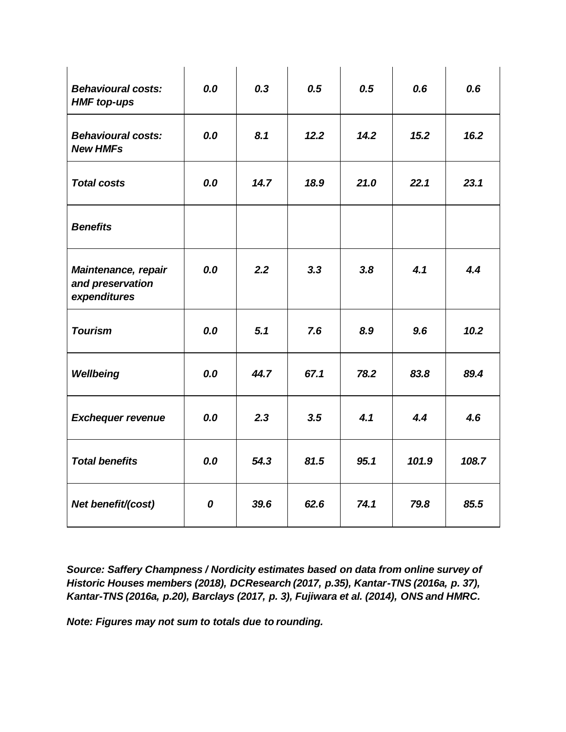| <b>Behavioural costs:</b><br><b>HMF</b> top-ups         | 0.0 | 0.3  | 0.5  | 0.5  | 0.6   | 0.6   |
|---------------------------------------------------------|-----|------|------|------|-------|-------|
| <b>Behavioural costs:</b><br><b>New HMFs</b>            | 0.0 | 8.1  | 12.2 | 14.2 | 15.2  | 16.2  |
| <b>Total costs</b>                                      | 0.0 | 14.7 | 18.9 | 21.0 | 22.1  | 23.1  |
| <b>Benefits</b>                                         |     |      |      |      |       |       |
| Maintenance, repair<br>and preservation<br>expenditures | 0.0 | 2.2  | 3.3  | 3.8  | 4.1   | 4.4   |
| <b>Tourism</b>                                          | 0.0 | 5.1  | 7.6  | 8.9  | 9.6   | 10.2  |
| Wellbeing                                               | 0.0 | 44.7 | 67.1 | 78.2 | 83.8  | 89.4  |
| <b>Exchequer revenue</b>                                | 0.0 | 2.3  | 3.5  | 4.1  | 4.4   | 4.6   |
| <b>Total benefits</b>                                   | 0.0 | 54.3 | 81.5 | 95.1 | 101.9 | 108.7 |
| Net benefit/(cost)                                      | 0   | 39.6 | 62.6 | 74.1 | 79.8  | 85.5  |

*Source: Saffery Champness / Nordicity estimates based on data from online survey of Historic Houses members (2018), DCResearch (2017, p.35), Kantar-TNS (2016a, p. 37), Kantar-TNS (2016a, p.20), Barclays (2017, p. 3), Fujiwara et al. (2014), ONS and HMRC.*

*Note: Figures may not sum to totals due to rounding.*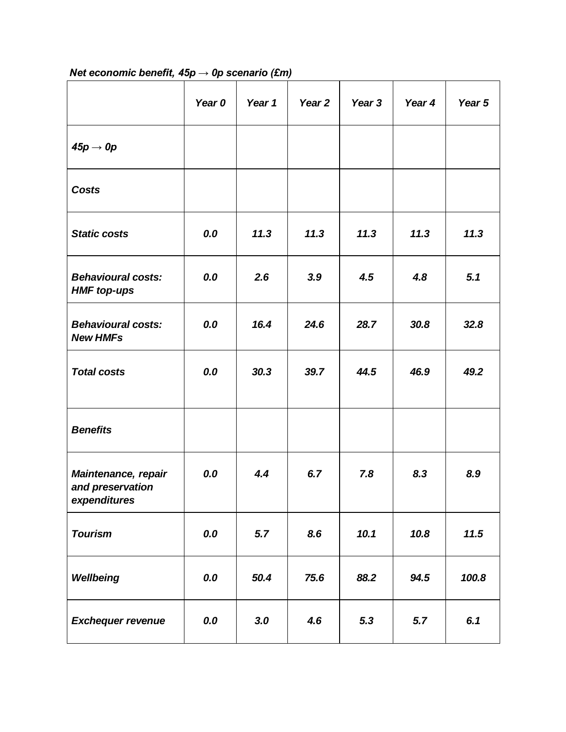|                                                         | Year 0 | Year 1 | Year <sub>2</sub> | Year 3 | Year 4 | Year 5 |
|---------------------------------------------------------|--------|--------|-------------------|--------|--------|--------|
| 45 $p \rightarrow 0p$                                   |        |        |                   |        |        |        |
| <b>Costs</b>                                            |        |        |                   |        |        |        |
| <b>Static costs</b>                                     | 0.0    | 11.3   | 11.3              | 11.3   | 11.3   | 11.3   |
| <b>Behavioural costs:</b><br><b>HMF</b> top-ups         | 0.0    | 2.6    | 3.9               | 4.5    | 4.8    | 5.1    |
| <b>Behavioural costs:</b><br><b>New HMFs</b>            | 0.0    | 16.4   | 24.6              | 28.7   | 30.8   | 32.8   |
| <b>Total costs</b>                                      | 0.0    | 30.3   | 39.7              | 44.5   | 46.9   | 49.2   |
| <b>Benefits</b>                                         |        |        |                   |        |        |        |
| Maintenance, repair<br>and preservation<br>expenditures | 0.0    | 4.4    | 6.7               | 7.8    | 8.3    | 8.9    |
| <b>Tourism</b>                                          | 0.0    | 5.7    | 8.6               | 10.1   | 10.8   | 11.5   |
| Wellbeing                                               | 0.0    | 50.4   | 75.6              | 88.2   | 94.5   | 100.8  |
| <b>Exchequer revenue</b>                                | 0.0    | 3.0    | 4.6               | 5.3    | 5.7    | 6.1    |

# *Net economic benefit, 45p → 0p scenario (£m)*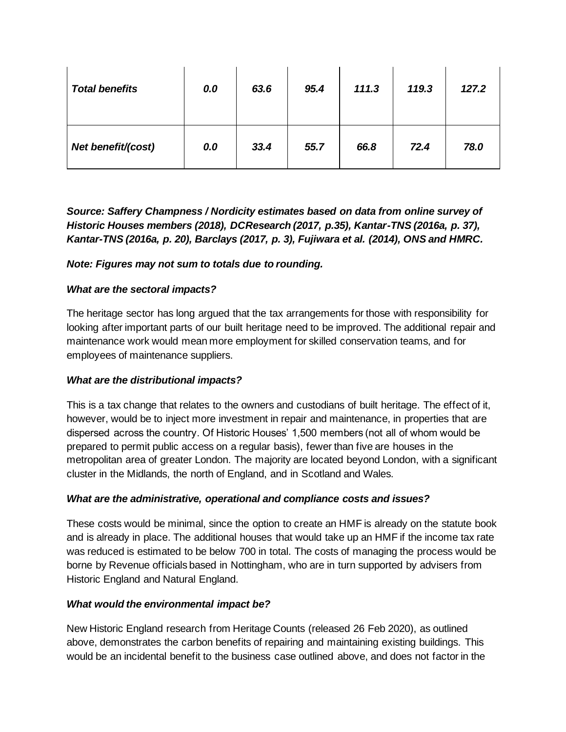| <b>Total benefits</b> | 0.0 | 63.6 | 95.4 | 111.3 | 119.3 | 127.2 |
|-----------------------|-----|------|------|-------|-------|-------|
| Net benefit/(cost)    | 0.0 | 33.4 | 55.7 | 66.8  | 72.4  | 78.0  |

*Source: Saffery Champness / Nordicity estimates based on data from online survey of Historic Houses members (2018), DCResearch (2017, p.35), Kantar-TNS (2016a, p. 37), Kantar-TNS (2016a, p. 20), Barclays (2017, p. 3), Fujiwara et al. (2014), ONS and HMRC.*

## *Note: Figures may not sum to totals due to rounding.*

## *What are the sectoral impacts?*

The heritage sector has long argued that the tax arrangements for those with responsibility for looking after important parts of our built heritage need to be improved. The additional repair and maintenance work would mean more employment for skilled conservation teams, and for employees of maintenance suppliers.

## *What are the distributional impacts?*

This is a tax change that relates to the owners and custodians of built heritage. The effect of it, however, would be to inject more investment in repair and maintenance, in properties that are dispersed across the country. Of Historic Houses' 1,500 members (not all of whom would be prepared to permit public access on a regular basis), fewer than five are houses in the metropolitan area of greater London. The majority are located beyond London, with a significant cluster in the Midlands, the north of England, and in Scotland and Wales.

## *What are the administrative, operational and compliance costs and issues?*

These costs would be minimal, since the option to create an HMF is already on the statute book and is already in place. The additional houses that would take up an HMF if the income tax rate was reduced is estimated to be below 700 in total. The costs of managing the process would be borne by Revenue officials based in Nottingham, who are in turn supported by advisers from Historic England and Natural England.

#### *What would the environmental impact be?*

New Historic England research from Heritage Counts (released 26 Feb 2020), as outlined above, demonstrates the carbon benefits of repairing and maintaining existing buildings. This would be an incidental benefit to the business case outlined above, and does not factor in the